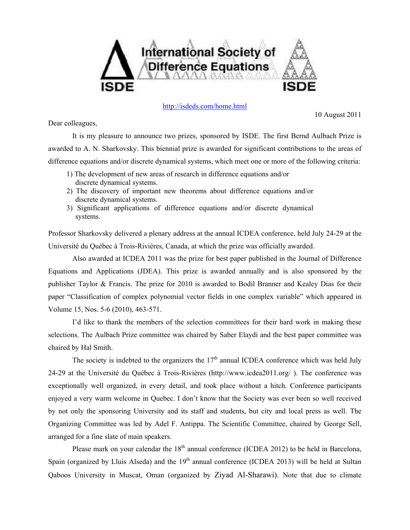

## <http://isdeds.com/home.html>

10 August 2011

Dear colleagues,

 It is my pleasure to announce two prizes, sponsored by ISDE. The first Bernd Aulbach Prize is awarded to A. N. Sharkovsky. This biennial prize is awarded for significant contributions to the areas of difference equations and/or discrete dynamical systems, which meet one or more of the following criteria:

- 1) The development of new areas of research in difference equations and/or discrete dynamical systems.
- 2) The discovery of important new theorems about difference equations and/or discrete dynamical systems.
- 3) Significant applications of difference equations and/or discrete dynamical systems.

Professor Sharkovsky delivered a plenary address at the annual ICDEA conference, held July 24-29 at the [Université du Québec à Trois-Rivières,](http://www.uqtr.ca/) Canada, at which the prize was officially awarded.

 Also awarded at ICDEA 2011 was the prize for best paper published in the Journal of Difference Equations and Applications (JDEA). This prize is awarded annually and is also sponsored by the publisher Taylor & Francis. The prize for 2010 is awarded to Bodil Branner and Kealey Dias for their paper "Classification of complex polynomial vector fields in one complex variable" which appeared in Volume 15, Nos. 5-6 (2010), 463-571.

 I'd like to thank the members of the selection committees for their hard work in making these selections. The Aulbach Prize committee was chaired by Saber Elaydi and the best paper committee was chaired by Hal Smith.

The society is indebted to the organizers the  $17<sup>th</sup>$  annual ICDEA conference which was held July 24-29 at the [Université du Québec à Trois-Rivières](http://www.uqtr.ca/) (http://www.icdea2011.org/ ). The conference was exceptionally well organized, in every detail, and took place without a hitch. Conference participants enjoyed a very warm welcome in Quebec. I don't know that the Society was ever been so well received by not only the sponsoring University and its staff and students, but city and local press as well. The Organizing Committee was led by Adel F. Antippa. The Scientific Committee, chaired by George Sell, arranged for a fine slate of main speakers.

Please mark on your calendar the  $18<sup>th</sup>$  annual conference (ICDEA 2012) to be held in Barcelona, Spain (organized by Lluis Alseda) and the  $19<sup>th</sup>$  annual conference (ICDEA 2013) will be held at Sultan Qaboos University in Muscat, Oman (organized by Ziyad Al-Sharawi). Note that due to climate